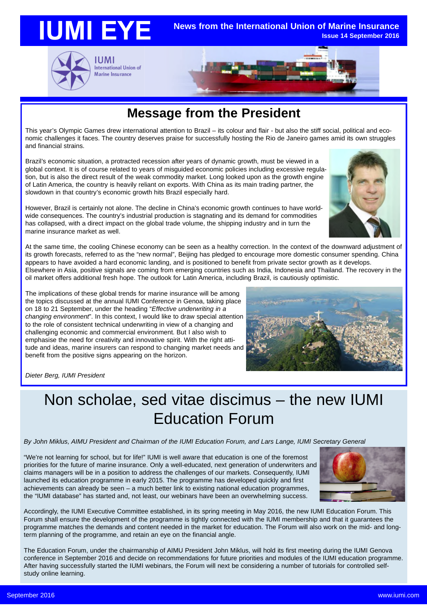





### **Message from the President**

This year's Olympic Games drew international attention to Brazil – its colour and flair - but also the stiff social, political and economic challenges it faces. The country deserves praise for successfully hosting the Rio de Janeiro games amid its own struggles and financial strains.

Brazil's economic situation, a protracted recession after years of dynamic growth, must be viewed in a global context. It is of course related to years of misguided economic policies including excessive regulation, but is also the direct result of the weak commodity market. Long looked upon as the growth engine of Latin America, the country is heavily reliant on exports. With China as its main trading partner, the slowdown in that country's economic growth hits Brazil especially hard.



However, Brazil is certainly not alone. The decline in China's economic growth continues to have worldwide consequences. The country's industrial production is stagnating and its demand for commodities has collapsed, with a direct impact on the global trade volume, the shipping industry and in turn the marine insurance market as well.

At the same time, the cooling Chinese economy can be seen as a healthy correction. In the context of the downward adjustment of its growth forecasts, referred to as the "new normal", Beijing has pledged to encourage more domestic consumer spending. China appears to have avoided a hard economic landing, and is positioned to benefit from private sector growth as it develops. Elsewhere in Asia, positive signals are coming from emerging countries such as India, Indonesia and Thailand. The recovery in the oil market offers additional fresh hope. The outlook for Latin America, including Brazil, is cautiously optimistic.

The implications of these global trends for marine insurance will be among the topics discussed at the annual IUMI Conference in Genoa, taking place on 18 to 21 September, under the heading "*Effective underwriting in a changing environment*". In this context, I would like to draw special attention to the role of consistent technical underwriting in view of a changing and challenging economic and commercial environment. But I also wish to emphasise the need for creativity and innovative spirit. With the right attitude and ideas, marine insurers can respond to changing market needs and benefit from the positive signs appearing on the horizon.



*Dieter Berg, IUMI President*

### Non scholae, sed vitae discimus – the new IUMI Education Forum

### *By John Miklus, AIMU President and Chairman of the IUMI Education Forum, and Lars Lange, IUMI Secretary General*

"We're not learning for school, but for life!" IUMI is well aware that education is one of the foremost priorities for the future of marine insurance. Only a well-educated, next generation of underwriters and claims managers will be in a position to address the challenges of our markets. Consequently, IUMI launched its education programme in early 2015. The programme has developed quickly and first achievements can already be seen – a much better link to existing national education programmes, the "IUMI database" has started and, not least, our webinars have been an overwhelming success.



Accordingly, the IUMI Executive Committee established, in its spring meeting in May 2016, the new IUMI Education Forum. This Forum shall ensure the development of the programme is tightly connected with the IUMI membership and that it guarantees the programme matches the demands and content needed in the market for education. The Forum will also work on the mid- and longterm planning of the programme, and retain an eye on the financial angle.

The Education Forum, under the chairmanship of AIMU President John Miklus, will hold its first meeting during the IUMI Genova conference in September 2016 and decide on recommendations for future priorities and modules of the IUMI education programme. After having successfully started the IUMI webinars, the Forum will next be considering a number of tutorials for controlled selfstudy online learning.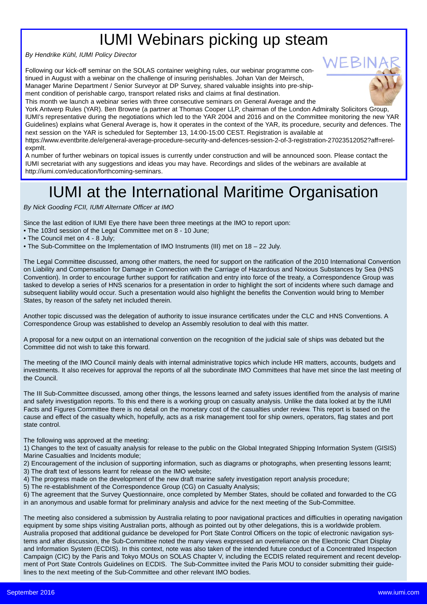## IUMI Webinars picking up steam

*By Hendrike Kühl, IUMI Policy Director*

Following our kick-off seminar on the SOLAS container weighing rules, our webinar programme continued in August with a webinar on the challenge of insuring perishables. Johan Van der Meirsch, Manager Marine Department / Senior Surveyor at DP Survey, shared valuable insights into pre-shipment condition of perishable cargo, transport related risks and claims at final destination.

This month we launch a webinar series with three consecutive seminars on General Average and the

York Antwerp Rules (YAR). Ben Browne (a partner at Thomas Cooper LLP, chairman of the London Admiralty Solicitors Group, IUMI's representative during the negotiations which led to the YAR 2004 and 2016 and on the Committee monitoring the new YAR Guidelines) explains what General Average is, how it operates in the context of the YAR, its procedure, security and defences. The next session on the YAR is scheduled for September 13, 14:00-15:00 CEST. Registration is available at

https://www.eventbrite.de/e/general-average-procedure-security-and-defences-session-2-of-3-registration-27023512052?aff=erelexpmlt.

A number of further webinars on topical issues is currently under construction and will be announced soon. Please contact the IUMI secretariat with any suggestions and ideas you may have. Recordings and slides of the webinars are available at http://iumi.com/education/forthcoming-seminars.

### IUMI at the International Maritime Organisation

*By Nick Gooding FCII, IUMI Alternate Officer at IMO*

Since the last edition of IUMI Eye there have been three meetings at the IMO to report upon:

• The 103rd session of the Legal Committee met on 8 - 10 June;

• The Council met on 4 - 8 July;

• The Sub-Committee on the Implementation of IMO Instruments (III) met on 18 – 22 July.

The Legal Committee discussed, among other matters, the need for support on the ratification of the 2010 International Convention on Liability and Compensation for Damage in Connection with the Carriage of Hazardous and Noxious Substances by Sea (HNS Convention). In order to encourage further support for ratification and entry into force of the treaty, a Correspondence Group was tasked to develop a series of HNS scenarios for a presentation in order to highlight the sort of incidents where such damage and subsequent liability would occur. Such a presentation would also highlight the benefits the Convention would bring to Member States, by reason of the safety net included therein.

Another topic discussed was the delegation of authority to issue insurance certificates under the CLC and HNS Conventions. A Correspondence Group was established to develop an Assembly resolution to deal with this matter.

A proposal for a new output on an international convention on the recognition of the judicial sale of ships was debated but the Committee did not wish to take this forward.

The meeting of the IMO Council mainly deals with internal administrative topics which include HR matters, accounts, budgets and investments. It also receives for approval the reports of all the subordinate IMO Committees that have met since the last meeting of the Council.

The III Sub-Committee discussed, among other things, the lessons learned and safety issues identified from the analysis of marine and safety investigation reports. To this end there is a working group on casualty analysis. Unlike the data looked at by the IUMI Facts and Figures Committee there is no detail on the monetary cost of the casualties under review. This report is based on the cause and effect of the casualty which, hopefully, acts as a risk management tool for ship owners, operators, flag states and port state control.

The following was approved at the meeting:

1) Changes to the text of casualty analysis for release to the public on the Global Integrated Shipping Information System (GISIS) Marine Casualties and Incidents module;

2) Encouragement of the inclusion of supporting information, such as diagrams or photographs, when presenting lessons learnt;

3) The draft text of lessons learnt for release on the IMO website;

4) The progress made on the development of the new draft marine safety investigation report analysis procedure;

5) The re-establishment of the Correspondence Group (CG) on Casualty Analysis;

6) The agreement that the Survey Questionnaire, once completed by Member States, should be collated and forwarded to the CG in an anonymous and usable format for preliminary analysis and advice for the next meeting of the Sub-Committee.

The meeting also considered a submission by Australia relating to poor navigational practices and difficulties in operating navigation equipment by some ships visiting Australian ports, although as pointed out by other delegations, this is a worldwide problem. Australia proposed that additional guidance be developed for Port State Control Officers on the topic of electronic navigation systems and after discussion, the Sub-Committee noted the many views expressed an overreliance on the Electronic Chart Display and Information System (ECDIS). In this context, note was also taken of the intended future conduct of a Concentrated Inspection Campaign (CIC) by the Paris and Tokyo MOUs on SOLAS Chapter V, including the ECDIS related requirement and recent development of Port State Controls Guidelines on ECDIS. The Sub-Committee invited the Paris MOU to consider submitting their guidelines to the next meeting of the Sub-Committee and other relevant IMO bodies.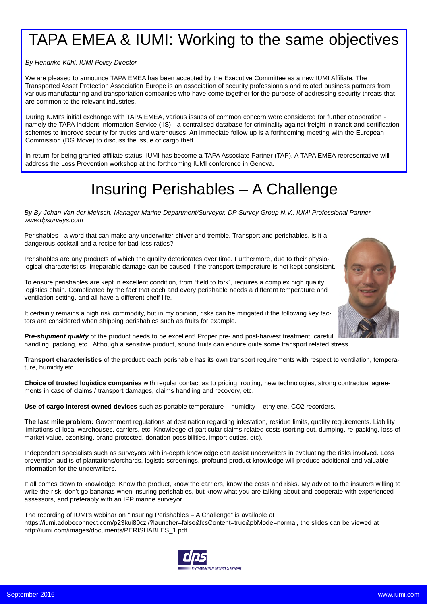## TAPA EMEA & IUMI: Working to the same objectives

*By Hendrike Kühl, IUMI Policy Director*

We are pleased to announce TAPA EMEA has been accepted by the Executive Committee as a new IUMI Affiliate. The Transported Asset Protection Association Europe is an association of security professionals and related business partners from various manufacturing and transportation companies who have come together for the purpose of addressing security threats that are common to the relevant industries.

During IUMI's initial exchange with TAPA EMEA, various issues of common concern were considered for further cooperation namely the TAPA Incident Information Service (IIS) - a centralised database for criminality against freight in transit and certification schemes to improve security for trucks and warehouses. An immediate follow up is a forthcoming meeting with the European Commission (DG Move) to discuss the issue of cargo theft.

In return for being granted affiliate status, IUMI has become a TAPA Associate Partner (TAP). A TAPA EMEA representative will address the Loss Prevention workshop at the forthcoming IUMI conference in Genova.

### Insuring Perishables – A Challenge

*By By Johan Van der Meirsch, Manager Marine Department/Surveyor, DP Survey Group N.V., IUMI Professional Partner, www.dpsurveys.com*

Perishables - a word that can make any underwriter shiver and tremble. Transport and perishables, is it a dangerous cocktail and a recipe for bad loss ratios?

Perishables are any products of which the quality deteriorates over time. Furthermore, due to their physiological characteristics, irreparable damage can be caused if the transport temperature is not kept consistent.

To ensure perishables are kept in excellent condition, from "field to fork", requires a complex high quality logistics chain. Complicated by the fact that each and every perishable needs a different temperature and ventilation setting, and all have a different shelf life.



It certainly remains a high risk commodity, but in my opinion, risks can be mitigated if the following key factors are considered when shipping perishables such as fruits for example.

*Pre-shipment quality* of the product needs to be excellent! Proper pre- and post-harvest treatment, careful handling, packing, etc. Although a sensitive product, sound fruits can endure quite some transport related stress.

**Transport characteristics** of the product: each perishable has its own transport requirements with respect to ventilation, temperature, humidity,etc.

**Choice of trusted logistics companies** with regular contact as to pricing, routing, new technologies, strong contractual agreements in case of claims / transport damages, claims handling and recovery, etc.

**Use of cargo interest owned devices** such as portable temperature – humidity – ethylene, CO2 recorders.

**The last mile problem:** Government regulations at destination regarding infestation, residue limits, quality requirements. Liability limitations of local warehouses, carriers, etc. Knowledge of particular claims related costs (sorting out, dumping, re-packing, loss of market value, ozonising, brand protected, donation possibilities, import duties, etc).

Independent specialists such as surveyors with in-depth knowledge can assist underwriters in evaluating the risks involved. Loss prevention audits of plantations/orchards, logistic screenings, profound product knowledge will produce additional and valuable information for the underwriters.

It all comes down to knowledge. Know the product, know the carriers, know the costs and risks. My advice to the insurers willing to write the risk; don't go bananas when insuring perishables, but know what you are talking about and cooperate with experienced assessors, and preferably with an IPP marine surveyor.

The recording of IUMI's webinar on "Insuring Perishables – A Challenge" is available at https://iumi.adobeconnect.com/p23kui80czl/?launcher=false&fcsContent=true&pbMode=normal, the slides can be viewed at http://iumi.com/images/documents/PERISHABLES\_1.pdf.

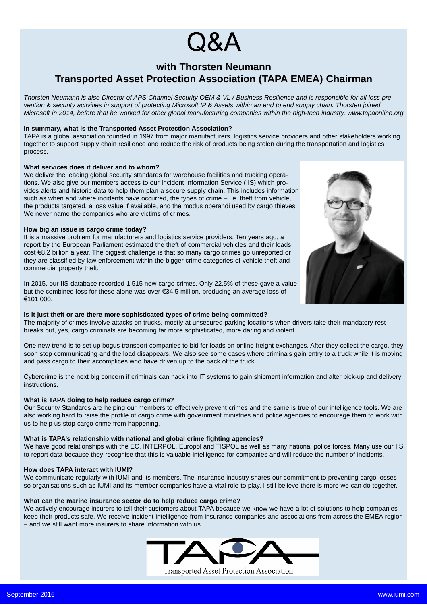# (JXA

### **with Thorsten Neumann Transported Asset Protection Association (TAPA EMEA) Chairman**

*Thorsten Neumann is also Director of APS Channel Security OEM & VL / Business Resilience and is responsible for all loss prevention & security activities in support of protecting Microsoft IP & Assets within an end to end supply chain. Thorsten joined Microsoft in 2014, before that he worked for other global manufacturing companies within the high-tech industry. www.tapaonline.org*

#### **In summary, what is the Transported Asset Protection Association?**

TAPA is a global association founded in 1997 from major manufacturers, logistics service providers and other stakeholders working together to support supply chain resilience and reduce the risk of products being stolen during the transportation and logistics process.

#### **What services does it deliver and to whom?**

We deliver the leading global security standards for warehouse facilities and trucking operations. We also give our members access to our Incident Information Service (IIS) which provides alerts and historic data to help them plan a secure supply chain. This includes information such as when and where incidents have occurred, the types of crime – i.e. theft from vehicle, the products targeted, a loss value if available, and the modus operandi used by cargo thieves. We never name the companies who are victims of crimes.

#### **How big an issue is cargo crime today?**

It is a massive problem for manufacturers and logistics service providers. Ten years ago, a report by the European Parliament estimated the theft of commercial vehicles and their loads cost €8.2 billion a year. The biggest challenge is that so many cargo crimes go unreported or they are classified by law enforcement within the bigger crime categories of vehicle theft and commercial property theft.

In 2015, our IIS database recorded 1,515 new cargo crimes. Only 22.5% of these gave a value but the combined loss for these alone was over €34.5 million, producing an average loss of €101,000.

### **Is it just theft or are there more sophisticated types of crime being committed?**

The majority of crimes involve attacks on trucks, mostly at unsecured parking locations when drivers take their mandatory rest breaks but, yes, cargo criminals are becoming far more sophisticated, more daring and violent.

One new trend is to set up bogus transport companies to bid for loads on online freight exchanges. After they collect the cargo, they soon stop communicating and the load disappears. We also see some cases where criminals gain entry to a truck while it is moving and pass cargo to their accomplices who have driven up to the back of the truck.

Cybercrime is the next big concern if criminals can hack into IT systems to gain shipment information and alter pick-up and delivery instructions.

#### **What is TAPA doing to help reduce cargo crime?**

Our Security Standards are helping our members to effectively prevent crimes and the same is true of our intelligence tools. We are also working hard to raise the profile of cargo crime with government ministries and police agencies to encourage them to work with us to help us stop cargo crime from happening.

#### **What is TAPA's relationship with national and global crime fighting agencies?**

We have good relationships with the EC, INTERPOL, Europol and TISPOL as well as many national police forces. Many use our IIS to report data because they recognise that this is valuable intelligence for companies and will reduce the number of incidents.

#### **How does TAPA interact with IUMI?**

We communicate regularly with IUMI and its members. The insurance industry shares our commitment to preventing cargo losses so organisations such as IUMI and its member companies have a vital role to play. I still believe there is more we can do together.

#### **What can the marine insurance sector do to help reduce cargo crime?**

We actively encourage insurers to tell their customers about TAPA because we know we have a lot of solutions to help companies keep their products safe. We receive incident intelligence from insurance companies and associations from across the EMEA region – and we still want more insurers to share information with us.



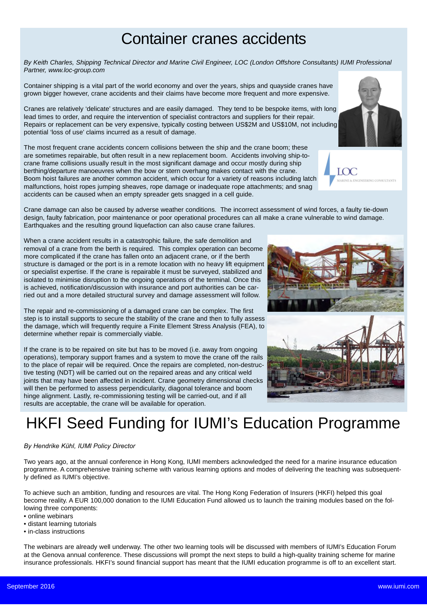### Container cranes accidents

*By Keith Charles, Shipping Technical Director and Marine Civil Engineer, LOC (London Offshore Consultants) IUMI Professional Partner, www.loc-group.com*

Container shipping is a vital part of the world economy and over the years, ships and quayside cranes have grown bigger however, crane accidents and their claims have become more frequent and more expensive.

Cranes are relatively 'delicate' structures and are easily damaged. They tend to be bespoke items, with long lead times to order, and require the intervention of specialist contractors and suppliers for their repair. Repairs or replacement can be very expensive, typically costing between US\$2M and US\$10M, not including potential 'loss of use' claims incurred as a result of damage.

The most frequent crane accidents concern collisions between the ship and the crane boom; these are sometimes repairable, but often result in a new replacement boom. Accidents involving ship-tocrane frame collisions usually result in the most significant damage and occur mostly during ship berthing/departure manoeuvres when the bow or stern overhang makes contact with the crane. Boom hoist failures are another common accident, which occur for a variety of reasons including latch malfunctions, hoist ropes jumping sheaves, rope damage or inadequate rope attachments; and snag accidents can be caused when an empty spreader gets snagged in a cell guide.

Crane damage can also be caused by adverse weather conditions. The incorrect assessment of wind forces, a faulty tie-down design, faulty fabrication, poor maintenance or poor operational procedures can all make a crane vulnerable to wind damage. Earthquakes and the resulting ground liquefaction can also cause crane failures.

When a crane accident results in a catastrophic failure, the safe demolition and removal of a crane from the berth is required. This complex operation can become more complicated if the crane has fallen onto an adjacent crane, or if the berth structure is damaged or the port is in a remote location with no heavy lift equipment or specialist expertise. If the crane is repairable it must be surveyed, stabilized and isolated to minimise disruption to the ongoing operations of the terminal. Once this is achieved, notification/discussion with insurance and port authorities can be carried out and a more detailed structural survey and damage assessment will follow.

The repair and re-commissioning of a damaged crane can be complex. The first step is to install supports to secure the stability of the crane and then to fully assess the damage, which will frequently require a Finite Element Stress Analysis (FEA), to determine whether repair is commercially viable.

If the crane is to be repaired on site but has to be moved (i.e. away from ongoing operations), temporary support frames and a system to move the crane off the rails to the place of repair will be required. Once the repairs are completed, non-destructive testing (NDT) will be carried out on the repaired areas and any critical weld joints that may have been affected in incident. Crane geometry dimensional checks will then be performed to assess perpendicularity, diagonal tolerance and boom hinge alignment. Lastly, re-commissioning testing will be carried-out, and if all results are acceptable, the crane will be available for operation.

## HKFI Seed Funding for IUMI's Education Programme

### *By Hendrike Kühl, IUMI Policy Director*

Two years ago, at the annual conference in Hong Kong, IUMI members acknowledged the need for a marine insurance education programme. A comprehensive training scheme with various learning options and modes of delivering the teaching was subsequently defined as IUMI's objective.

To achieve such an ambition, funding and resources are vital. The Hong Kong Federation of Insurers (HKFI) helped this goal become reality. A EUR 100,000 donation to the IUMI Education Fund allowed us to launch the training modules based on the following three components:

- online webinars
- distant learning tutorials
- in-class instructions

The webinars are already well underway. The other two learning tools will be discussed with members of IUMI's Education Forum at the Genova annual conference. These discussions will prompt the next steps to build a high-quality training scheme for marine insurance professionals. HKFI's sound financial support has meant that the IUMI education programme is off to an excellent start.







 $\overline{C}$ 

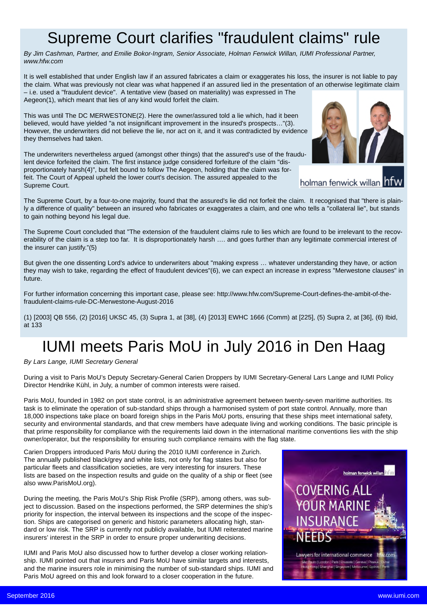### Supreme Court clarifies "fraudulent claims" rule

*By Jim Cashman, Partner, and Emilie Bokor-Ingram, Senior Associate, Holman Fenwick Willan, IUMI Professional Partner, www.hfw.com*

It is well established that under English law if an assured fabricates a claim or exaggerates his loss, the insurer is not liable to pay the claim. What was previously not clear was what happened if an assured lied in the presentation of an otherwise legitimate claim – i.e. used a "fraudulent device". A tentative view (based on materiality) was expressed in The Aegeon(1), which meant that lies of any kind would forfeit the claim.

This was until The DC MERWESTONE(2). Here the owner/assured told a lie which, had it been believed, would have yielded "a not insignificant improvement in the insured's prospects…"(3). However, the underwriters did not believe the lie, nor act on it, and it was contradicted by evidence they themselves had taken.

The underwriters nevertheless argued (amongst other things) that the assured's use of the fraudulent device forfeited the claim. The first instance judge considered forfeiture of the claim "disproportionately harsh(4)", but felt bound to follow The Aegeon, holding that the claim was forfeit. The Court of Appeal upheld the lower court's decision. The assured appealed to the Supreme Court.



holman fenwick willan ht

The Supreme Court, by a four-to-one majority, found that the assured's lie did not forfeit the claim. It recognised that "there is plainly a difference of quality" between an insured who fabricates or exaggerates a claim, and one who tells a "collateral lie", but stands to gain nothing beyond his legal due.

The Supreme Court concluded that "The extension of the fraudulent claims rule to lies which are found to be irrelevant to the recoverability of the claim is a step too far. It is disproportionately harsh …. and goes further than any legitimate commercial interest of the insurer can justify."(5)

But given the one dissenting Lord's advice to underwriters about "making express … whatever understanding they have, or action they may wish to take, regarding the effect of fraudulent devices"(6), we can expect an increase in express "Merwestone clauses" in future.

For further information concerning this important case, please see: http://www.hfw.com/Supreme-Court-defines-the-ambit-of-thefraudulent-claims-rule-DC-Merwestone-August-2016

(1) [2003] QB 556, (2) [2016] UKSC 45, (3) Supra 1, at [38], (4) [2013] EWHC 1666 (Comm) at [225], (5) Supra 2, at [36], (6) Ibid, at 133

# IUMI meets Paris MoU in July 2016 in Den Haag

*By Lars Lange, IUMI Secretary General*

During a visit to Paris MoU's Deputy Secretary-General Carien Droppers by IUMI Secretary-General Lars Lange and IUMI Policy Director Hendrike Kühl, in July, a number of common interests were raised.

Paris MoU, founded in 1982 on port state control, is an administrative agreement between twenty-seven maritime authorities. Its task is to eliminate the operation of sub-standard ships through a harmonised system of port state control. Annually, more than 18,000 inspections take place on board foreign ships in the Paris MoU ports, ensuring that these ships meet international safety, security and environmental standards, and that crew members have adequate living and working conditions. The basic principle is that prime responsibility for compliance with the requirements laid down in the international maritime conventions lies with the ship owner/operator, but the responsibility for ensuring such compliance remains with the flag state.

Carien Droppers introduced Paris MoU during the 2010 IUMI conference in Zurich. The annually published black/grey and white lists, not only for flag states but also for particular fleets and classification societies, are very interesting for insurers. These lists are based on the inspection results and guide on the quality of a ship or fleet (see also www.ParisMoU.org).

During the meeting, the Paris MoU's Ship Risk Profile (SRP), among others, was subject to discussion. Based on the inspections performed, the SRP determines the ship's priority for inspection, the interval between its inspections and the scope of the inspection. Ships are categorised on generic and historic parameters allocating high, standard or low risk. The SRP is currently not publicly available, but IUMI reiterated marine insurers' interest in the SRP in order to ensure proper underwriting decisions.

IUMI and Paris MoU also discussed how to further develop a closer working relationship. IUMI pointed out that insurers and Paris MoU have similar targets and interests, and the marine insurers role in minimising the number of sub-standard ships. IUMI and Paris MoU agreed on this and look forward to a closer cooperation in the future.

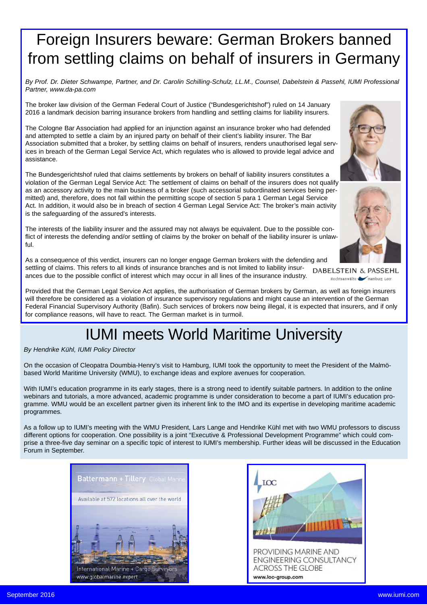### Foreign Insurers beware: German Brokers banned from settling claims on behalf of insurers in Germany

*By Prof. Dr. Dieter Schwampe, Partner, and Dr. Carolin Schilling-Schulz, LL.M., Counsel, Dabelstein & Passehl, IUMI Professional Partner, www.da-pa.com*

The broker law division of the German Federal Court of Justice ("Bundesgerichtshof") ruled on 14 January 2016 a landmark decision barring insurance brokers from handling and settling claims for liability insurers.

The Cologne Bar Association had applied for an injunction against an insurance broker who had defended and attempted to settle a claim by an injured party on behalf of their client's liability insurer. The Bar Association submitted that a broker, by settling claims on behalf of insurers, renders unauthorised legal services in breach of the German Legal Service Act, which regulates who is allowed to provide legal advice and assistance.

The Bundesgerichtshof ruled that claims settlements by brokers on behalf of liability insurers constitutes a violation of the German Legal Service Act: The settlement of claims on behalf of the insurers does not qualify as an accessory activity to the main business of a broker (such accessorial subordinated services being permitted) and, therefore, does not fall within the permitting scope of section 5 para 1 German Legal Service Act. In addition, it would also be in breach of section 4 German Legal Service Act: The broker's main activity is the safeguarding of the assured's interests.

The interests of the liability insurer and the assured may not always be equivalent. Due to the possible conflict of interests the defending and/or settling of claims by the broker on behalf of the liability insurer is unlawful.





Rechtsanwälte Hamburg Leer

As a consequence of this verdict, insurers can no longer engage German brokers with the defending and settling of claims. This refers to all kinds of insurance branches and is not limited to liability insur-**DABELSTEIN & PASSEHL** ances due to the possible conflict of interest which may occur in all lines of the insurance industry.

Provided that the German Legal Service Act applies, the authorisation of German brokers by German, as well as foreign insurers will therefore be considered as a violation of insurance supervisory regulations and might cause an intervention of the German Federal Financial Supervisory Authority (Bafin). Such services of brokers now being illegal, it is expected that insurers, and if only for compliance reasons, will have to react. The German market is in turmoil.

### IUMI meets World Maritime University

### *By Hendrike Kühl, IUMI Policy Director*

On the occasion of Cleopatra Doumbia-Henry's visit to Hamburg, IUMI took the opportunity to meet the President of the Malmöbased World Maritime University (WMU), to exchange ideas and explore avenues for cooperation.

With IUMI's education programme in its early stages, there is a strong need to identify suitable partners. In addition to the online webinars and tutorials, a more advanced, academic programme is under consideration to become a part of IUMI's education programme. WMU would be an excellent partner given its inherent link to the IMO and its expertise in developing maritime academic programmes.

As a follow up to IUMI's meeting with the WMU President, Lars Lange and Hendrike Kühl met with two WMU professors to discuss different options for cooperation. One possibility is a joint "Executive & Professional Development Programme" which could comprise a three-five day seminar on a specific topic of interest to IUMI's membership. Further ideas will be discussed in the Education Forum in September.



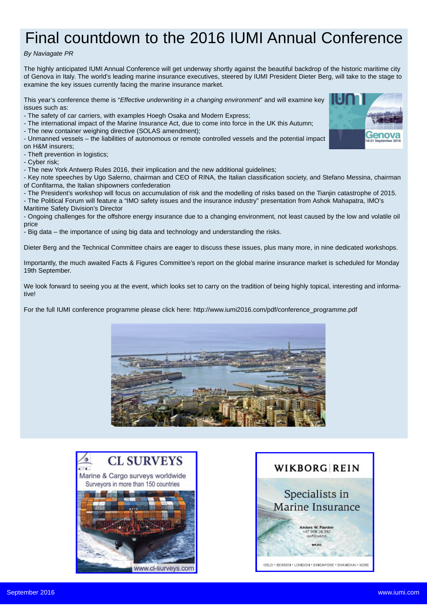# Final countdown to the 2016 IUMI Annual Conference

### *By Naviagate PR*

The highly anticipated IUMI Annual Conference will get underway shortly against the beautiful backdrop of the historic maritime city of Genova in Italy. The world's leading marine insurance executives, steered by IUMI President Dieter Berg, will take to the stage to examine the key issues currently facing the marine insurance market.

This year's conference theme is "*Effective underwriting in a changing environment*" and will examine key issues such as:

- The safety of car carriers, with examples Hoegh Osaka and Modern Express;

- The international impact of the Marine Insurance Act, due to come into force in the UK this Autumn;

- The new container weighing directive (SOLAS amendment);

- Unmanned vessels – the liabilities of autonomous or remote controlled vessels and the potential impact on H&M insurers;

- Theft prevention in logistics;

- Cyber risk;

- The new York Antwerp Rules 2016, their implication and the new additional guidelines;

- Key note speeches by Ugo Salerno, chairman and CEO of RINA, the Italian classification society, and Stefano Messina, chairman of Confitarma, the Italian shipowners confederation

- The President's workshop will focus on accumulation of risk and the modelling of risks based on the Tianjin catastrophe of 2015. - The Political Forum will feature a "IMO safety issues and the insurance industry" presentation from Ashok Mahapatra, IMO's Maritime Safety Division's Director

- Ongoing challenges for the offshore energy insurance due to a changing environment, not least caused by the low and volatile oil price

- Big data – the importance of using big data and technology and understanding the risks.

Dieter Berg and the Technical Committee chairs are eager to discuss these issues, plus many more, in nine dedicated workshops.

Importantly, the much awaited Facts & Figures Committee's report on the global marine insurance market is scheduled for Monday 19th September.

We look forward to seeing you at the event, which looks set to carry on the tradition of being highly topical, interesting and informative!

For the full IUMI conference programme please click here: http://www.iumi2016.com/pdf/conference\_programme.pdf



www.cl-surveys.com



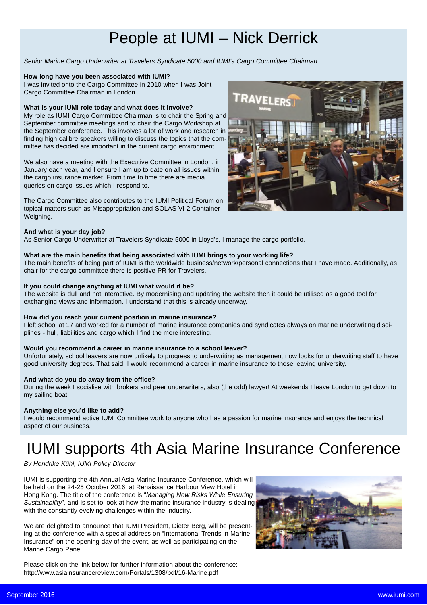### People at IUMI – Nick Derrick

*Senior Marine Cargo Underwriter at Travelers Syndicate 5000 and IUMI's Cargo Committee Chairman*

#### **How long have you been associated with IUMI?**

I was invited onto the Cargo Committee in 2010 when I was Joint Cargo Committee Chairman in London.

#### **What is your IUMI role today and what does it involve?**

My role as IUMI Cargo Committee Chairman is to chair the Spring and September committee meetings and to chair the Cargo Workshop at the September conference. This involves a lot of work and research in finding high calibre speakers willing to discuss the topics that the committee has decided are important in the current cargo environment.

We also have a meeting with the Executive Committee in London, in January each year, and I ensure I am up to date on all issues within the cargo insurance market. From time to time there are media queries on cargo issues which I respond to.

The Cargo Committee also contributes to the IUMI Political Forum on topical matters such as Misappropriation and SOLAS VI 2 Container Weighing.



As Senior Cargo Underwriter at Travelers Syndicate 5000 in Lloyd's, I manage the cargo portfolio.

### **What are the main benefits that being associated with IUMI brings to your working life?**

The main benefits of being part of IUMI is the worldwide business/network/personal connections that I have made. Additionally, as chair for the cargo committee there is positive PR for Travelers.

#### **If you could change anything at IUMI what would it be?**

The website is dull and not interactive. By modernising and updating the website then it could be utilised as a good tool for exchanging views and information. I understand that this is already underway.

#### **How did you reach your current position in marine insurance?**

I left school at 17 and worked for a number of marine insurance companies and syndicates always on marine underwriting disciplines - hull, liabilities and cargo which I find the more interesting.

#### **Would you recommend a career in marine insurance to a school leaver?**

Unfortunately, school leavers are now unlikely to progress to underwriting as management now looks for underwriting staff to have good university degrees. That said, I would recommend a career in marine insurance to those leaving university.

### **And what do you do away from the office?**

During the week I socialise with brokers and peer underwriters, also (the odd) lawyer! At weekends I leave London to get down to my sailing boat.

### **Anything else you'd like to add?**

I would recommend active IUMI Committee work to anyone who has a passion for marine insurance and enjoys the technical aspect of our business.

### IUMI supports 4th Asia Marine Insurance Conference

### *By Hendrike Kühl, IUMI Policy Director*

IUMI is supporting the 4th Annual Asia Marine Insurance Conference, which will be held on the 24-25 October 2016, at Renaissance Harbour View Hotel in Hong Kong. The title of the conference is "*Managing New Risks While Ensuring Sustainability*", and is set to look at how the marine insurance industry is dealing with the constantly evolving challenges within the industry.

We are delighted to announce that IUMI President, Dieter Berg, will be presenting at the conference with a special address on "International Trends in Marine Insurance" on the opening day of the event, as well as participating on the Marine Cargo Panel.

Please click on the link below for further information about the conference: http://www.asiainsurancereview.com/Portals/1308/pdf/16-Marine.pdf